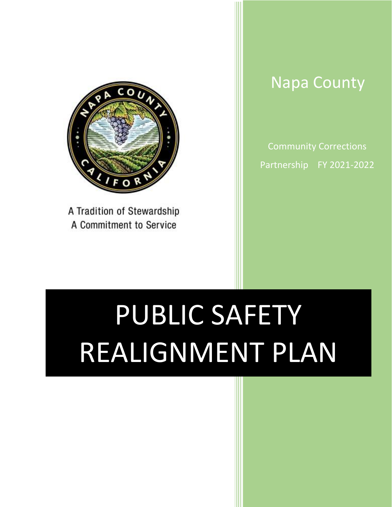

A Tradition of Stewardship A Commitment to Service

# Napa County

Community Corrections Partnership FY 2021-2022

# PUBLIC SAFETY REALIGNMENT PLAN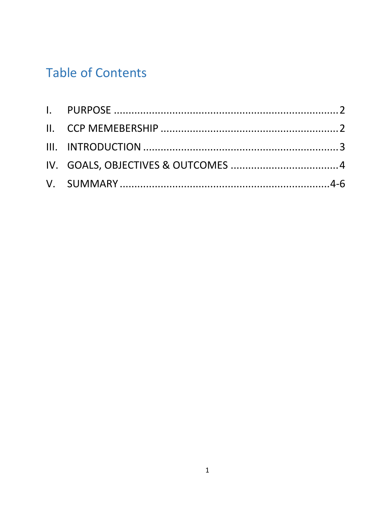# **Table of Contents**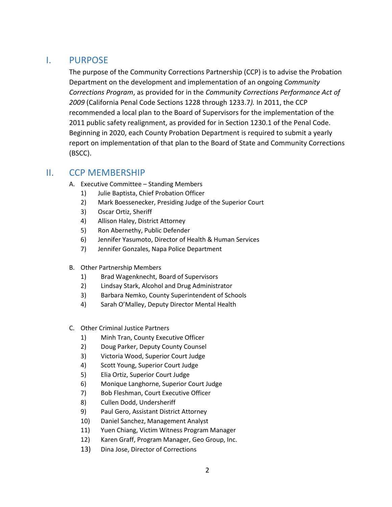# <span id="page-2-0"></span>I. PURPOSE

The purpose of the Community Corrections Partnership (CCP) is to advise the Probation Department on the development and implementation of an ongoing *Community Corrections Program*, as provided for in the *Community Corrections Performance Act of 2009* (California Penal Code Sections 1228 through 1233.7*).* In 2011, the CCP recommended a local plan to the Board of Supervisors for the implementation of the 2011 public safety realignment, as provided for in Section 1230.1 of the Penal Code. Beginning in 2020, each County Probation Department is required to submit a yearly report on implementation of that plan to the Board of State and Community Corrections (BSCC).

# <span id="page-2-1"></span>II. CCP MEMBERSHIP

- A. Executive Committee Standing Members
	- 1) Julie Baptista, Chief Probation Officer
	- 2) Mark Boessenecker, Presiding Judge of the Superior Court
	- 3) Oscar Ortiz, Sheriff
	- 4) Allison Haley, District Attorney
	- 5) Ron Abernethy, Public Defender
	- 6) Jennifer Yasumoto, Director of Health & Human Services
	- 7) Jennifer Gonzales, Napa Police Department
- B. Other Partnership Members
	- 1) Brad Wagenknecht, Board of Supervisors
	- 2) Lindsay Stark, Alcohol and Drug Administrator
	- 3) Barbara Nemko, County Superintendent of Schools
	- 4) Sarah O'Malley, Deputy Director Mental Health
- C. Other Criminal Justice Partners
	- 1) Minh Tran, County Executive Officer
	- 2) Doug Parker, Deputy County Counsel
	- 3) Victoria Wood, Superior Court Judge
	- 4) Scott Young, Superior Court Judge
	- 5) Elia Ortiz, Superior Court Judge
	- 6) Monique Langhorne, Superior Court Judge
	- 7) Bob Fleshman, Court Executive Officer
	- 8) Cullen Dodd, Undersheriff
	- 9) Paul Gero, Assistant District Attorney
	- 10) Daniel Sanchez, Management Analyst
	- 11) Yuen Chiang, Victim Witness Program Manager
	- 12) Karen Graff, Program Manager, Geo Group, Inc.
	- 13) Dina Jose, Director of Corrections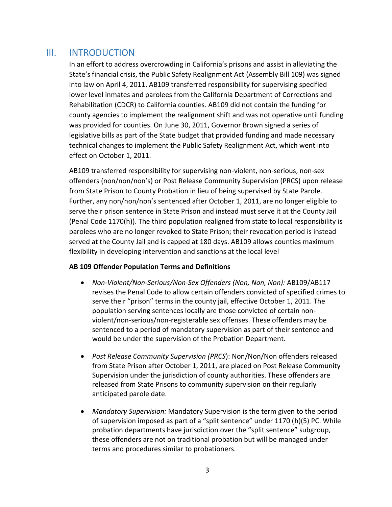### <span id="page-3-0"></span>III. INTRODUCTION

In an effort to address overcrowding in California's prisons and assist in alleviating the State's financial crisis, the Public Safety Realignment Act (Assembly Bill 109) was signed into law on April 4, 2011. AB109 transferred responsibility for supervising specified lower level inmates and parolees from the California Department of Corrections and Rehabilitation (CDCR) to California counties. AB109 did not contain the funding for county agencies to implement the realignment shift and was not operative until funding was provided for counties. On June 30, 2011, Governor Brown signed a series of legislative bills as part of the State budget that provided funding and made necessary technical changes to implement the Public Safety Realignment Act, which went into effect on October 1, 2011.

AB109 transferred responsibility for supervising non-violent, non-serious, non-sex offenders (non/non/non's) or Post Release Community Supervision (PRCS) upon release from State Prison to County Probation in lieu of being supervised by State Parole. Further, any non/non/non's sentenced after October 1, 2011, are no longer eligible to serve their prison sentence in State Prison and instead must serve it at the County Jail (Penal Code 1170(h)). The third population realigned from state to local responsibility is parolees who are no longer revoked to State Prison; their revocation period is instead served at the County Jail and is capped at 180 days. AB109 allows counties maximum flexibility in developing intervention and sanctions at the local level

#### **AB 109 Offender Population Terms and Definitions**

- *Non‐Violent/Non‐Serious/Non‐Sex Offenders (Non, Non, Non):* AB109/AB117 revises the Penal Code to allow certain offenders convicted of specified crimes to serve their "prison" terms in the county jail, effective October 1, 2011. The population serving sentences locally are those convicted of certain nonviolent/non-serious/non-registerable sex offenses. These offenders may be sentenced to a period of mandatory supervision as part of their sentence and would be under the supervision of the Probation Department.
- *Post Release Community Supervision (PRCS*): Non/Non/Non offenders released from State Prison after October 1, 2011, are placed on Post Release Community Supervision under the jurisdiction of county authorities. These offenders are released from State Prisons to community supervision on their regularly anticipated parole date.
- *Mandatory Supervision:* Mandatory Supervision is the term given to the period of supervision imposed as part of a "split sentence" under 1170 (h)(5) PC. While probation departments have jurisdiction over the "split sentence" subgroup, these offenders are not on traditional probation but will be managed under terms and procedures similar to probationers.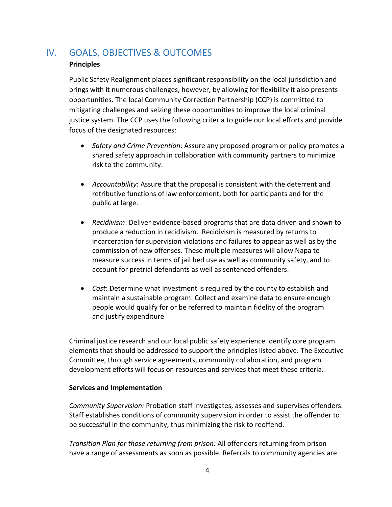# <span id="page-4-0"></span>IV. GOALS, OBJECTIVES & OUTCOMES

#### **Principles**

Public Safety Realignment places significant responsibility on the local jurisdiction and brings with it numerous challenges, however, by allowing for flexibility it also presents opportunities. The local Community Correction Partnership (CCP) is committed to mitigating challenges and seizing these opportunities to improve the local criminal justice system. The CCP uses the following criteria to guide our local efforts and provide focus of the designated resources:

- *Safety and Crime Prevention*: Assure any proposed program or policy promotes a shared safety approach in collaboration with community partners to minimize risk to the community.
- *Accountability*: Assure that the proposal is consistent with the deterrent and retributive functions of law enforcement, both for participants and for the public at large.
- *Recidivism*: Deliver evidence-based programs that are data driven and shown to produce a reduction in recidivism. Recidivism is measured by returns to incarceration for supervision violations and failures to appear as well as by the commission of new offenses. These multiple measures will allow Napa to measure success in terms of jail bed use as well as community safety, and to account for pretrial defendants as well as sentenced offenders.
- *Cost*: Determine what investment is required by the county to establish and maintain a sustainable program. Collect and examine data to ensure enough people would qualify for or be referred to maintain fidelity of the program and justify expenditure

Criminal justice research and our local public safety experience identify core program elements that should be addressed to support the principles listed above. The Executive Committee, through service agreements, community collaboration, and program development efforts will focus on resources and services that meet these criteria.

#### **Services and Implementation**

*Community Supervision:* Probation staff investigates, assesses and supervises offenders. Staff establishes conditions of community supervision in order to assist the offender to be successful in the community, thus minimizing the risk to reoffend.

*Transition Plan for those returning from prison:* All offenders returning from prison have a range of assessments as soon as possible. Referrals to community agencies are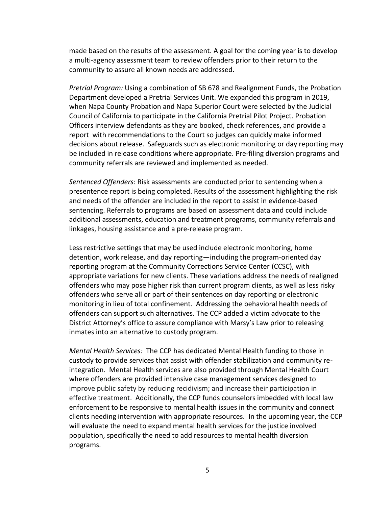made based on the results of the assessment. A goal for the coming year is to develop a multi-agency assessment team to review offenders prior to their return to the community to assure all known needs are addressed.

*Pretrial Program:* Using a combination of SB 678 and Realignment Funds, the Probation Department developed a Pretrial Services Unit. We expanded this program in 2019, when Napa County Probation and Napa Superior Court were selected by the Judicial Council of California to participate in the California Pretrial Pilot Project. Probation Officers interview defendants as they are booked, check references, and provide a report with recommendations to the Court so judges can quickly make informed decisions about release. Safeguards such as electronic monitoring or day reporting may be included in release conditions where appropriate. Pre-filing diversion programs and community referrals are reviewed and implemented as needed.

*Sentenced Offenders*: Risk assessments are conducted prior to sentencing when a presentence report is being completed. Results of the assessment highlighting the risk and needs of the offender are included in the report to assist in evidence-based sentencing. Referrals to programs are based on assessment data and could include additional assessments, education and treatment programs, community referrals and linkages, housing assistance and a pre-release program.

Less restrictive settings that may be used include electronic monitoring, home detention, work release, and day reporting—including the program-oriented day reporting program at the Community Corrections Service Center (CCSC), with appropriate variations for new clients. These variations address the needs of realigned offenders who may pose higher risk than current program clients, as well as less risky offenders who serve all or part of their sentences on day reporting or electronic monitoring in lieu of total confinement. Addressing the behavioral health needs of offenders can support such alternatives. The CCP added a victim advocate to the District Attorney's office to assure compliance with Marsy's Law prior to releasing inmates into an alternative to custody program.

*Mental Health Services:* The CCP has dedicated Mental Health funding to those in custody to provide services that assist with offender stabilization and community reintegration. Mental Health services are also provided through Mental Health Court where offenders are provided intensive case management services designed to improve public safety by reducing recidivism; and increase their participation in effective treatment. Additionally, the CCP funds counselors imbedded with local law enforcement to be responsive to mental health issues in the community and connect clients needing intervention with appropriate resources. In the upcoming year, the CCP will evaluate the need to expand mental health services for the justice involved population, specifically the need to add resources to mental health diversion programs.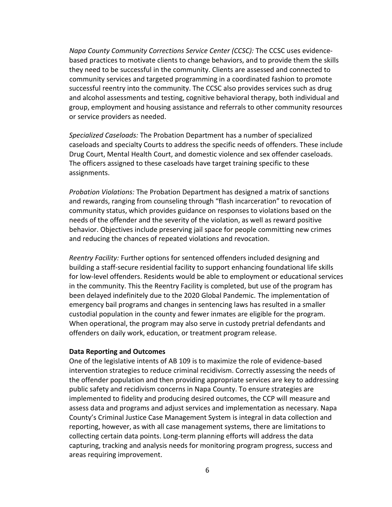*Napa County Community Corrections Service Center (CCSC):* The CCSC uses evidencebased practices to motivate clients to change behaviors, and to provide them the skills they need to be successful in the community. Clients are assessed and connected to community services and targeted programming in a coordinated fashion to promote successful reentry into the community. The CCSC also provides services such as drug and alcohol assessments and testing, cognitive behavioral therapy, both individual and group, employment and housing assistance and referrals to other community resources or service providers as needed.

*Specialized Caseloads:* The Probation Department has a number of specialized caseloads and specialty Courts to address the specific needs of offenders. These include Drug Court, Mental Health Court, and domestic violence and sex offender caseloads. The officers assigned to these caseloads have target training specific to these assignments.

*Probation Violations:* The Probation Department has designed a matrix of sanctions and rewards, ranging from counseling through "flash incarceration" to revocation of community status, which provides guidance on responses to violations based on the needs of the offender and the severity of the violation, as well as reward positive behavior. Objectives include preserving jail space for people committing new crimes and reducing the chances of repeated violations and revocation.

*Reentry Facility:* Further options for sentenced offenders included designing and building a staff-secure residential facility to support enhancing foundational life skills for low-level offenders. Residents would be able to employment or educational services in the community. This the Reentry Facility is completed, but use of the program has been delayed indefinitely due to the 2020 Global Pandemic. The implementation of emergency bail programs and changes in sentencing laws has resulted in a smaller custodial population in the county and fewer inmates are eligible for the program. When operational, the program may also serve in custody pretrial defendants and offenders on daily work, education, or treatment program release.

#### **Data Reporting and Outcomes**

One of the legislative intents of AB 109 is to maximize the role of evidence-based intervention strategies to reduce criminal recidivism. Correctly assessing the needs of the offender population and then providing appropriate services are key to addressing public safety and recidivism concerns in Napa County. To ensure strategies are implemented to fidelity and producing desired outcomes, the CCP will measure and assess data and programs and adjust services and implementation as necessary. Napa County's Criminal Justice Case Management System is integral in data collection and reporting, however, as with all case management systems, there are limitations to collecting certain data points. Long-term planning efforts will address the data capturing, tracking and analysis needs for monitoring program progress, success and areas requiring improvement.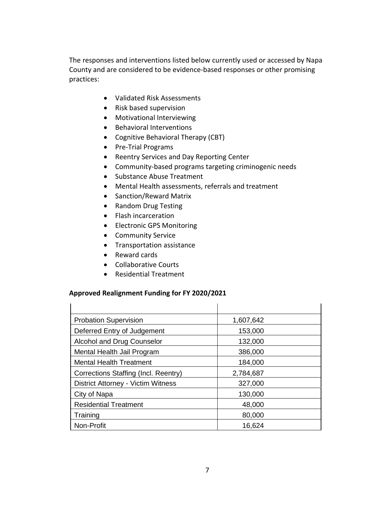The responses and interventions listed below currently used or accessed by Napa County and are considered to be evidence-based responses or other promising practices:

- Validated Risk Assessments
- Risk based supervision
- Motivational Interviewing
- Behavioral Interventions
- Cognitive Behavioral Therapy (CBT)
- Pre-Trial Programs
- Reentry Services and Day Reporting Center
- Community-based programs targeting criminogenic needs
- Substance Abuse Treatment
- Mental Health assessments, referrals and treatment
- Sanction/Reward Matrix
- Random Drug Testing
- Flash incarceration
- Electronic GPS Monitoring
- Community Service
- Transportation assistance
- Reward cards
- Collaborative Courts
- Residential Treatment

#### **Approved Realignment Funding for FY 2020/2021**

| <b>Probation Supervision</b>              | 1,607,642 |
|-------------------------------------------|-----------|
| Deferred Entry of Judgement               | 153,000   |
| Alcohol and Drug Counselor                | 132,000   |
| Mental Health Jail Program                | 386,000   |
| <b>Mental Health Treatment</b>            | 184,000   |
| Corrections Staffing (Incl. Reentry)      | 2,784,687 |
| <b>District Attorney - Victim Witness</b> | 327,000   |
| City of Napa                              | 130,000   |
| <b>Residential Treatment</b>              | 48,000    |
| Training                                  | 80,000    |
| Non-Profit                                | 16,624    |